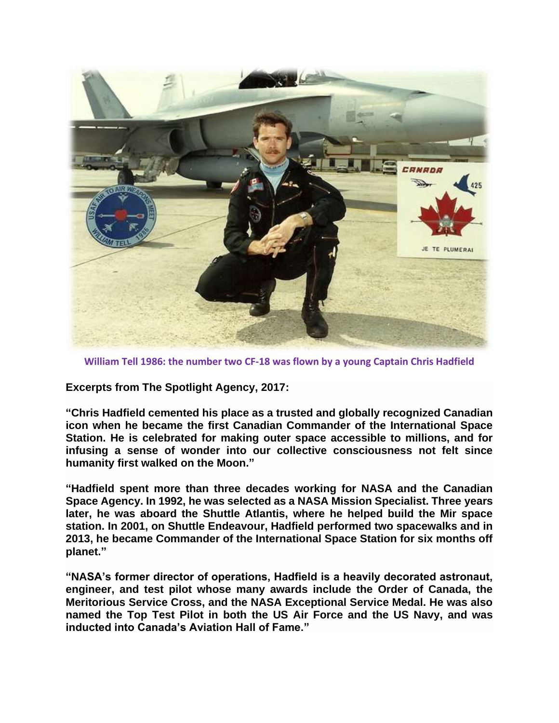

**William Tell 1986: the number two CF-18 was flown by a young Captain Chris Hadfield**

**Excerpts from The Spotlight Agency, 2017:**

**"Chris Hadfield cemented his place as a trusted and globally recognized Canadian icon when he became the first Canadian Commander of the International Space Station. He is celebrated for making outer space accessible to millions, and for infusing a sense of wonder into our collective consciousness not felt since humanity first walked on the Moon."**

**"Hadfield spent more than three decades working for NASA and the Canadian Space Agency. In 1992, he was selected as a NASA Mission Specialist. Three years later, he was aboard the Shuttle Atlantis, where he helped build the Mir space station. In 2001, on Shuttle Endeavour, Hadfield performed two spacewalks and in 2013, he became Commander of the International Space Station for six months off planet."**

**"NASA's former director of operations, Hadfield is a heavily decorated astronaut, engineer, and test pilot whose many awards include the Order of Canada, the Meritorious Service Cross, and the NASA Exceptional Service Medal. He was also named the Top Test Pilot in both the US Air Force and the US Navy, and was inducted into Canada's Aviation Hall of Fame."**